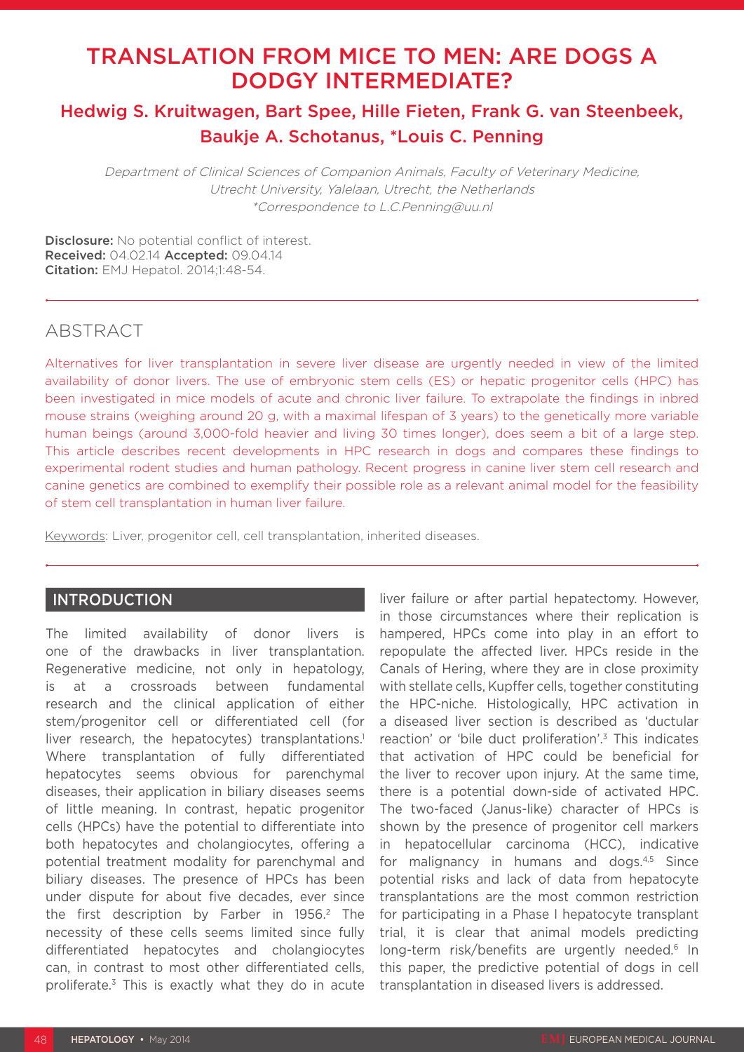# TRANSLATION FROM MICE TO MEN: ARE DOGS A DODGY INTERMEDIATE?

## Hedwig S. Kruitwagen, Bart Spee, Hille Fieten, Frank G. van Steenbeek, Baukje A. Schotanus, \*Louis C. Penning

Department of Clinical Sciences of Companion Animals, Faculty of Veterinary Medicine, Utrecht University, Yalelaan, Utrecht, the Netherlands \*Correspondence to L.C.Penning@uu.nl

Disclosure: No potential conflict of interest. Received: 04.02.14 Accepted: 09.04.14 **Citation:** EMJ Hepatol. 2014:1:48-54.

## ABSTRACT

Alternatives for liver transplantation in severe liver disease are urgently needed in view of the limited availability of donor livers. The use of embryonic stem cells (ES) or hepatic progenitor cells (HPC) has been investigated in mice models of acute and chronic liver failure. To extrapolate the findings in inbred mouse strains (weighing around 20 g, with a maximal lifespan of 3 years) to the genetically more variable human beings (around 3,000-fold heavier and living 30 times longer), does seem a bit of a large step. This article describes recent developments in HPC research in dogs and compares these findings to experimental rodent studies and human pathology. Recent progress in canine liver stem cell research and canine genetics are combined to exemplify their possible role as a relevant animal model for the feasibility of stem cell transplantation in human liver failure.

Keywords: Liver, progenitor cell, cell transplantation, inherited diseases.

## **INTRODUCTION**

The limited availability of donor livers is one of the drawbacks in liver transplantation. Regenerative medicine, not only in hepatology, is at a crossroads between fundamental research and the clinical application of either stem/progenitor cell or differentiated cell (for liver research, the hepatocytes) transplantations.<sup>1</sup> Where transplantation of fully differentiated hepatocytes seems obvious for parenchymal diseases, their application in biliary diseases seems of little meaning. In contrast, hepatic progenitor cells (HPCs) have the potential to differentiate into both hepatocytes and cholangiocytes, offering a potential treatment modality for parenchymal and biliary diseases. The presence of HPCs has been under dispute for about five decades, ever since the first description by Farber in 1956.<sup>2</sup> The necessity of these cells seems limited since fully differentiated hepatocytes and cholangiocytes can, in contrast to most other differentiated cells, proliferate.3 This is exactly what they do in acute

liver failure or after partial hepatectomy. However, in those circumstances where their replication is hampered, HPCs come into play in an effort to repopulate the affected liver. HPCs reside in the Canals of Hering, where they are in close proximity with stellate cells, Kupffer cells, together constituting the HPC-niche. Histologically, HPC activation in a diseased liver section is described as 'ductular reaction' or 'bile duct proliferation'.3 This indicates that activation of HPC could be beneficial for the liver to recover upon injury. At the same time, there is a potential down-side of activated HPC. The two-faced (Janus-like) character of HPCs is shown by the presence of progenitor cell markers in hepatocellular carcinoma (HCC), indicative for malignancy in humans and dogs.<sup>4,5</sup> Since potential risks and lack of data from hepatocyte transplantations are the most common restriction for participating in a Phase I hepatocyte transplant trial, it is clear that animal models predicting long-term risk/benefits are urgently needed.<sup>6</sup> In this paper, the predictive potential of dogs in cell transplantation in diseased livers is addressed.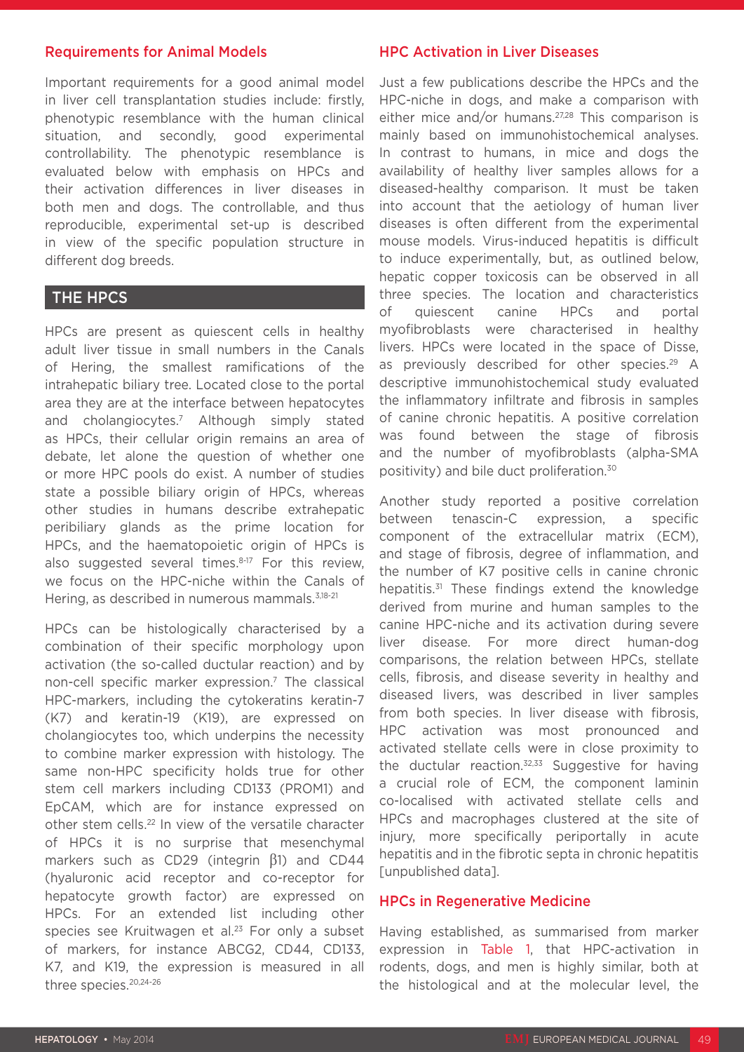#### Requirements for Animal Models

Important requirements for a good animal model in liver cell transplantation studies include: firstly, phenotypic resemblance with the human clinical situation, and secondly, good experimental controllability. The phenotypic resemblance is evaluated below with emphasis on HPCs and their activation differences in liver diseases in both men and dogs. The controllable, and thus reproducible, experimental set-up is described in view of the specific population structure in different dog breeds.

### THE HPCS

HPCs are present as quiescent cells in healthy adult liver tissue in small numbers in the Canals of Hering, the smallest ramifications of the intrahepatic biliary tree. Located close to the portal area they are at the interface between hepatocytes and cholangiocytes.7 Although simply stated as HPCs, their cellular origin remains an area of debate, let alone the question of whether one or more HPC pools do exist. A number of studies state a possible biliary origin of HPCs, whereas other studies in humans describe extrahepatic peribiliary glands as the prime location for HPCs, and the haematopoietic origin of HPCs is also suggested several times.<sup>8-17</sup> For this review, we focus on the HPC-niche within the Canals of Hering, as described in numerous mammals.<sup>3,18-21</sup>

HPCs can be histologically characterised by a combination of their specific morphology upon activation (the so-called ductular reaction) and by non-cell specific marker expression.7 The classical HPC-markers, including the cytokeratins keratin-7 (K7) and keratin-19 (K19), are expressed on cholangiocytes too, which underpins the necessity to combine marker expression with histology. The same non-HPC specificity holds true for other stem cell markers including CD133 (PROM1) and EpCAM, which are for instance expressed on other stem cells.22 In view of the versatile character of HPCs it is no surprise that mesenchymal markers such as CD29 (integrin β1) and CD44 (hyaluronic acid receptor and co-receptor for hepatocyte growth factor) are expressed on HPCs. For an extended list including other species see Kruitwagen et al.<sup>23</sup> For only a subset of markers, for instance ABCG2, CD44, CD133, K7, and K19, the expression is measured in all three species.20,24-26

#### HPC Activation in Liver Diseases

Just a few publications describe the HPCs and the HPC-niche in dogs, and make a comparison with either mice and/or humans.<sup>27,28</sup> This comparison is mainly based on immunohistochemical analyses. In contrast to humans, in mice and dogs the availability of healthy liver samples allows for a diseased-healthy comparison. It must be taken into account that the aetiology of human liver diseases is often different from the experimental mouse models. Virus-induced hepatitis is difficult to induce experimentally, but, as outlined below, hepatic copper toxicosis can be observed in all three species. The location and characteristics of quiescent canine HPCs and portal myofibroblasts were characterised in healthy livers. HPCs were located in the space of Disse, as previously described for other species.<sup>29</sup> A descriptive immunohistochemical study evaluated the inflammatory infiltrate and fibrosis in samples of canine chronic hepatitis. A positive correlation was found between the stage of fibrosis and the number of myofibroblasts (alpha-SMA positivity) and bile duct proliferation.30

Another study reported a positive correlation between tenascin-C expression, a specific component of the extracellular matrix (ECM), and stage of fibrosis, degree of inflammation, and the number of K7 positive cells in canine chronic hepatitis.31 These findings extend the knowledge derived from murine and human samples to the canine HPC-niche and its activation during severe liver disease. For more direct human-dog comparisons, the relation between HPCs, stellate cells, fibrosis, and disease severity in healthy and diseased livers, was described in liver samples from both species. In liver disease with fibrosis, HPC activation was most pronounced and activated stellate cells were in close proximity to the ductular reaction. $32,33$  Suggestive for having a crucial role of ECM, the component laminin co-localised with activated stellate cells and HPCs and macrophages clustered at the site of injury, more specifically periportally in acute hepatitis and in the fibrotic septa in chronic hepatitis [unpublished data].

#### HPCs in Regenerative Medicine

Having established, as summarised from marker expression in Table 1, that HPC-activation in rodents, dogs, and men is highly similar, both at the histological and at the molecular level, the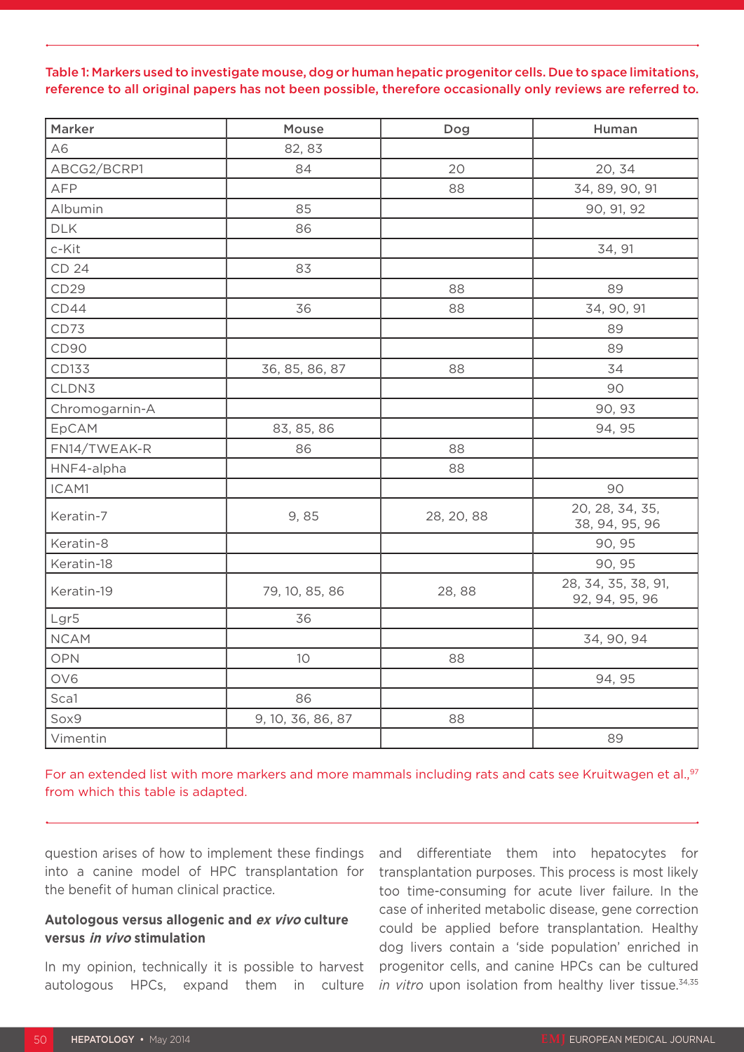#### Table 1: Markers used to investigate mouse, dog or human hepatic progenitor cells. Due to space limitations, reference to all original papers has not been possible, therefore occasionally only reviews are referred to.

| Marker         | Mouse             | Dog        | Human                                 |
|----------------|-------------------|------------|---------------------------------------|
| A6             | 82, 83            |            |                                       |
| ABCG2/BCRP1    | 84                | 20         | 20, 34                                |
| AFP            |                   | 88         | 34, 89, 90, 91                        |
| Albumin        | 85                |            | 90, 91, 92                            |
| <b>DLK</b>     | 86                |            |                                       |
| c-Kit          |                   |            | 34, 91                                |
| CD 24          | 83                |            |                                       |
| CD29           |                   | 88         | 89                                    |
| CD44           | 36                | 88         | 34, 90, 91                            |
| CD73           |                   |            | 89                                    |
| CD90           |                   |            | 89                                    |
| CD133          | 36, 85, 86, 87    | 88         | 34                                    |
| CLDN3          |                   |            | 90                                    |
| Chromogarnin-A |                   |            | 90, 93                                |
| EpCAM          | 83, 85, 86        |            | 94, 95                                |
| FN14/TWEAK-R   | 86                | 88         |                                       |
| HNF4-alpha     |                   | 88         |                                       |
| ICAM1          |                   |            | 90                                    |
| Keratin-7      | 9,85              | 28, 20, 88 | 20, 28, 34, 35,<br>38, 94, 95, 96     |
| Keratin-8      |                   |            | 90, 95                                |
| Keratin-18     |                   |            | 90, 95                                |
| Keratin-19     | 79, 10, 85, 86    | 28,88      | 28, 34, 35, 38, 91,<br>92, 94, 95, 96 |
| Lgr5           | 36                |            |                                       |
| <b>NCAM</b>    |                   |            | 34, 90, 94                            |
| <b>OPN</b>     | 10                | 88         |                                       |
| OV6            |                   |            | 94, 95                                |
| Sca1           | 86                |            |                                       |
| Sox9           | 9, 10, 36, 86, 87 | 88         |                                       |
| Vimentin       |                   |            | 89                                    |

For an extended list with more markers and more mammals including rats and cats see Kruitwagen et al.,<sup>97</sup> from which this table is adapted.

question arises of how to implement these findings into a canine model of HPC transplantation for the benefit of human clinical practice.

#### **Autologous versus allogenic and ex vivo culture versus in vivo stimulation**

In my opinion, technically it is possible to harvest autologous HPCs, expand them in culture

and differentiate them into hepatocytes for transplantation purposes. This process is most likely too time-consuming for acute liver failure. In the case of inherited metabolic disease, gene correction could be applied before transplantation. Healthy dog livers contain a 'side population' enriched in progenitor cells, and canine HPCs can be cultured *in vitro* upon isolation from healthy liver tissue.<sup>34,35</sup>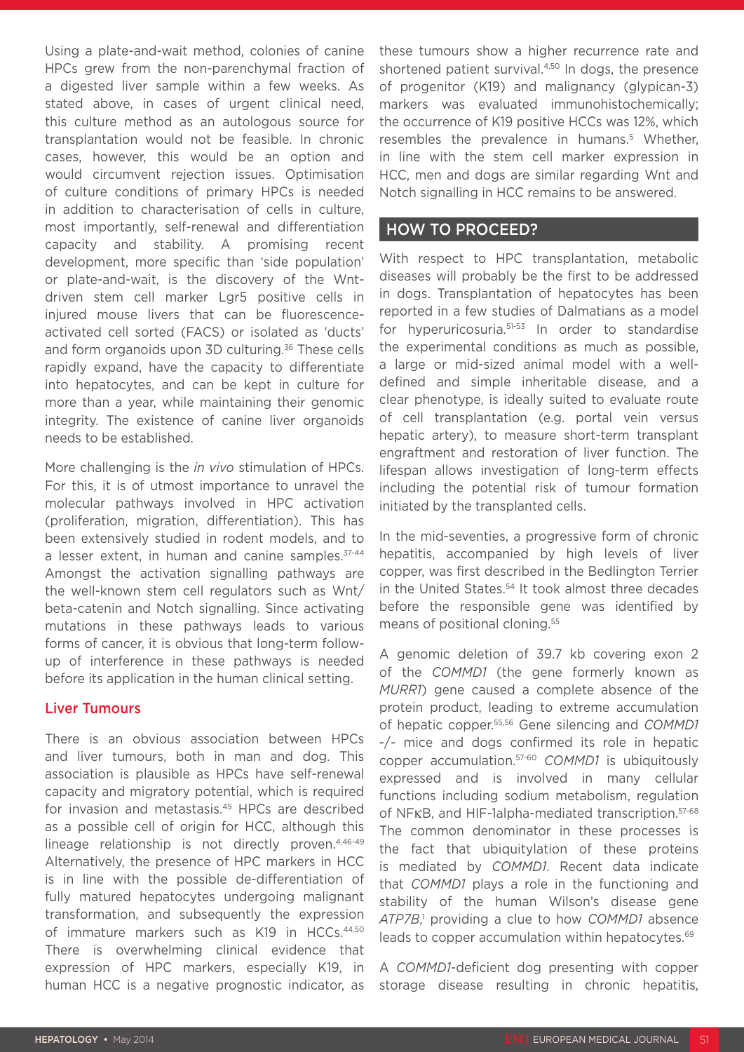Using a plate-and-wait method, colonies of canine HPCs grew from the non-parenchymal fraction of a digested liver sample within a few weeks. As stated above, in cases of urgent clinical need, this culture method as an autologous source for transplantation would not be feasible. In chronic cases, however, this would be an option and would circumvent rejection issues. Optimisation of culture conditions of primary HPCs is needed in addition to characterisation of cells in culture, most importantly, self-renewal and differentiation capacity and stability. A promising recent development, more specific than 'side population' or plate-and-wait, is the discovery of the Wntdriven stem cell marker Lgr5 positive cells in injured mouse livers that can be fluorescenceactivated cell sorted (FACS) or isolated as 'ducts' and form organoids upon 3D culturing.<sup>36</sup> These cells rapidly expand, have the capacity to differentiate into hepatocytes, and can be kept in culture for more than a year, while maintaining their genomic integrity. The existence of canine liver organoids needs to be established.

More challenging is the *in vivo* stimulation of HPCs. For this, it is of utmost importance to unravel the molecular pathways involved in HPC activation (proliferation, migration, differentiation). This has been extensively studied in rodent models, and to a lesser extent, in human and canine samples. 37-44 Amongst the activation signalling pathways are the well-known stem cell regulators such as Wnt/ beta-catenin and Notch signalling. Since activating mutations in these pathways leads to various forms of cancer, it is obvious that long-term followup of interference in these pathways is needed before its application in the human clinical setting.

#### Liver Tumours

There is an obvious association between HPCs and liver tumours, both in man and dog. This association is plausible as HPCs have self-renewal capacity and migratory potential, which is required for invasion and metastasis.45 HPCs are described as a possible cell of origin for HCC, although this lineage relationship is not directly proven.<sup>4,46-49</sup> Alternatively, the presence of HPC markers in HCC is in line with the possible de-differentiation of fully matured hepatocytes undergoing malignant transformation, and subsequently the expression of immature markers such as K19 in HCCs.44,50 There is overwhelming clinical evidence that expression of HPC markers, especially K19, in human HCC is a negative prognostic indicator, as

these tumours show a higher recurrence rate and shortened patient survival.<sup>4,50</sup> In dogs, the presence of progenitor (K19) and malignancy (glypican-3) markers was evaluated immunohistochemically; the occurrence of K19 positive HCCs was 12%, which resembles the prevalence in humans.<sup>5</sup> Whether, in line with the stem cell marker expression in HCC, men and dogs are similar regarding Wnt and Notch signalling in HCC remains to be answered.

#### HOW TO PROCEED?

With respect to HPC transplantation, metabolic diseases will probably be the first to be addressed in dogs. Transplantation of hepatocytes has been reported in a few studies of Dalmatians as a model for hyperuricosuria.51-53 In order to standardise the experimental conditions as much as possible, a large or mid-sized animal model with a welldefined and simple inheritable disease, and a clear phenotype, is ideally suited to evaluate route of cell transplantation (e.g. portal vein versus hepatic artery), to measure short-term transplant engraftment and restoration of liver function. The lifespan allows investigation of long-term effects including the potential risk of tumour formation initiated by the transplanted cells.

In the mid-seventies, a progressive form of chronic hepatitis, accompanied by high levels of liver copper, was first described in the Bedlington Terrier in the United States.<sup>54</sup> It took almost three decades before the responsible gene was identified by means of positional cloning.55

A genomic deletion of 39.7 kb covering exon 2 of the *COMMD1* (the gene formerly known as *MURR1*) gene caused a complete absence of the protein product, leading to extreme accumulation of hepatic copper.55,56 Gene silencing and *COMMD1* -/- mice and dogs confirmed its role in hepatic copper accumulation.57-60 *COMMD1* is ubiquitously expressed and is involved in many cellular functions including sodium metabolism, regulation of NFκB, and HIF-1alpha-mediated transcription.57-68 The common denominator in these processes is the fact that ubiquitylation of these proteins is mediated by *COMMD1*. Recent data indicate that *COMMD1* plays a role in the functioning and stability of the human Wilson's disease gene *ATP7B*, 1 providing a clue to how *COMMD1* absence leads to copper accumulation within hepatocytes.<sup>69</sup>

A *COMMD1*-deficient dog presenting with copper storage disease resulting in chronic hepatitis,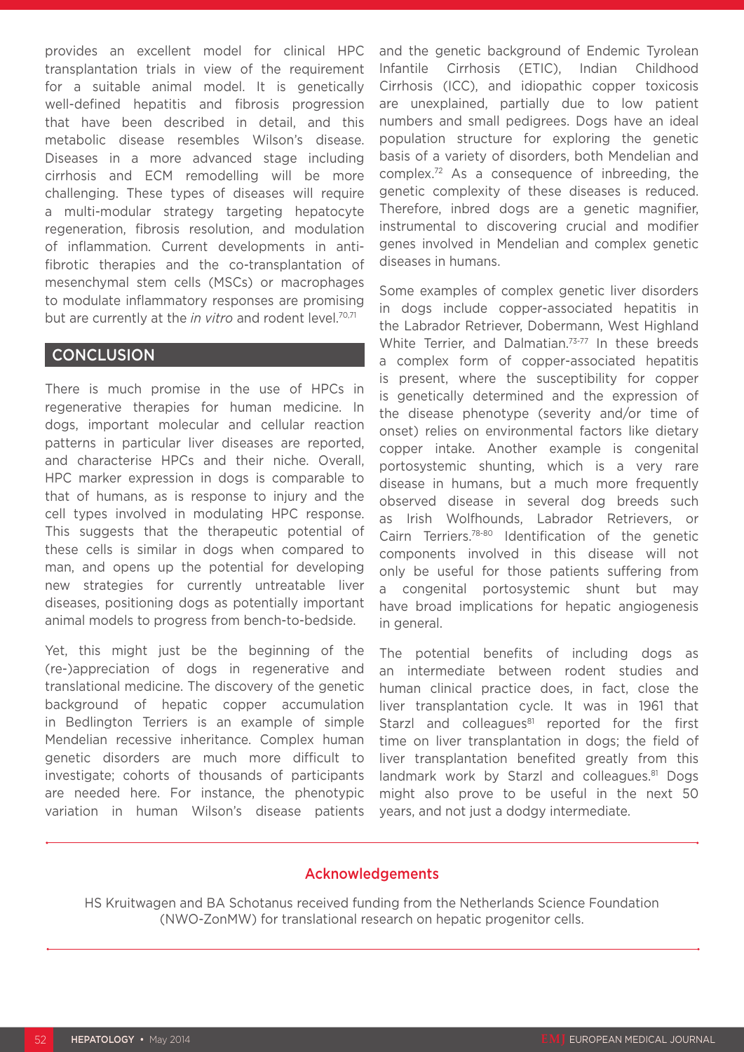provides an excellent model for clinical HPC transplantation trials in view of the requirement for a suitable animal model. It is genetically well-defined hepatitis and fibrosis progression that have been described in detail, and this metabolic disease resembles Wilson's disease. Diseases in a more advanced stage including cirrhosis and ECM remodelling will be more challenging. These types of diseases will require a multi-modular strategy targeting hepatocyte regeneration, fibrosis resolution, and modulation of inflammation. Current developments in antifibrotic therapies and the co-transplantation of mesenchymal stem cells (MSCs) or macrophages to modulate inflammatory responses are promising but are currently at the *in vitro* and rodent level.70,71

#### **CONCLUSION**

There is much promise in the use of HPCs in regenerative therapies for human medicine. In dogs, important molecular and cellular reaction patterns in particular liver diseases are reported, and characterise HPCs and their niche. Overall, HPC marker expression in dogs is comparable to that of humans, as is response to injury and the cell types involved in modulating HPC response. This suggests that the therapeutic potential of these cells is similar in dogs when compared to man, and opens up the potential for developing new strategies for currently untreatable liver diseases, positioning dogs as potentially important animal models to progress from bench-to-bedside.

Yet, this might just be the beginning of the (re-)appreciation of dogs in regenerative and translational medicine. The discovery of the genetic background of hepatic copper accumulation in Bedlington Terriers is an example of simple Mendelian recessive inheritance. Complex human genetic disorders are much more difficult to investigate; cohorts of thousands of participants are needed here. For instance, the phenotypic variation in human Wilson's disease patients and the genetic background of Endemic Tyrolean Infantile Cirrhosis (ETIC), Indian Childhood Cirrhosis (ICC), and idiopathic copper toxicosis are unexplained, partially due to low patient numbers and small pedigrees. Dogs have an ideal population structure for exploring the genetic basis of a variety of disorders, both Mendelian and complex.72 As a consequence of inbreeding, the genetic complexity of these diseases is reduced. Therefore, inbred dogs are a genetic magnifier, instrumental to discovering crucial and modifier genes involved in Mendelian and complex genetic diseases in humans.

Some examples of complex genetic liver disorders in dogs include copper-associated hepatitis in the Labrador Retriever, Dobermann, West Highland White Terrier, and Dalmatian.<sup>73-77</sup> In these breeds a complex form of copper-associated hepatitis is present, where the susceptibility for copper is genetically determined and the expression of the disease phenotype (severity and/or time of onset) relies on environmental factors like dietary copper intake. Another example is congenital portosystemic shunting, which is a very rare disease in humans, but a much more frequently observed disease in several dog breeds such as Irish Wolfhounds, Labrador Retrievers, or Cairn Terriers.78-80 Identification of the genetic components involved in this disease will not only be useful for those patients suffering from a congenital portosystemic shunt but may have broad implications for hepatic angiogenesis in general.

The potential benefits of including dogs as an intermediate between rodent studies and human clinical practice does, in fact, close the liver transplantation cycle. It was in 1961 that Starzl and colleagues $81$  reported for the first time on liver transplantation in dogs; the field of liver transplantation benefited greatly from this landmark work by Starzl and colleagues.<sup>81</sup> Dogs might also prove to be useful in the next 50 years, and not just a dodgy intermediate.

#### Acknowledgements

HS Kruitwagen and BA Schotanus received funding from the Netherlands Science Foundation (NWO-ZonMW) for translational research on hepatic progenitor cells.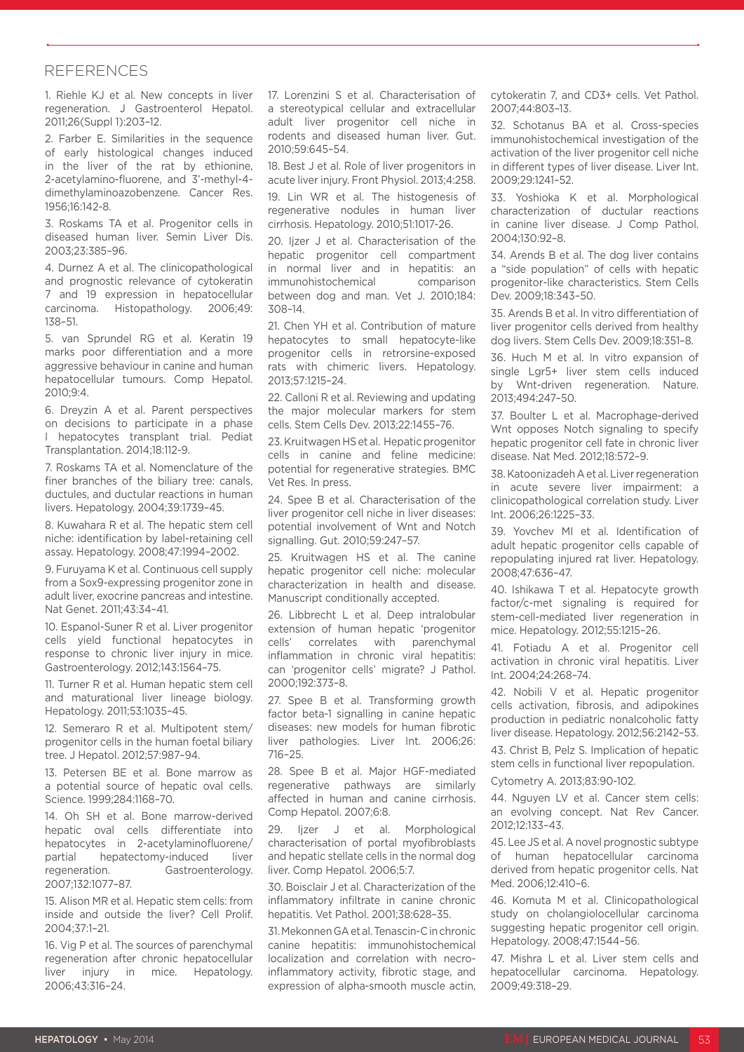#### REFERENCES

1. Riehle KJ et al. New concepts in liver regeneration. J Gastroenterol Hepatol. 2011;26(Suppl 1):203–12.

2. Farber E. Similarities in the sequence of early histological changes induced in the liver of the rat by ethionine, 2-acetylamino-fluorene, and 3'-methyl-4 dimethylaminoazobenzene. Cancer Res. 1956;16:142-8.

3. Roskams TA et al. Progenitor cells in diseased human liver. Semin Liver Dis. 2003;23:385–96.

4. Durnez A et al. The clinicopathological and prognostic relevance of cytokeratin 7 and 19 expression in hepatocellular carcinoma. Histopathology. 2006;49: 138–51.

5. van Sprundel RG et al. Keratin 19 marks poor differentiation and a more aggressive behaviour in canine and human hepatocellular tumours. Comp Hepatol. 2010;9:4.

6. Dreyzin A et al. Parent perspectives on decisions to participate in a phase I hepatocytes transplant trial. Pediat Transplantation. 2014;18:112-9.

7. Roskams TA et al. Nomenclature of the finer branches of the biliary tree: canals, ductules, and ductular reactions in human livers. Hepatology. 2004;39:1739–45.

8. Kuwahara R et al. The hepatic stem cell niche: identification by label-retaining cell assay. Hepatology. 2008;47:1994–2002.

9. Furuyama K et al. Continuous cell supply from a Sox9-expressing progenitor zone in adult liver, exocrine pancreas and intestine. Nat Genet. 2011;43:34–41.

10. Espanol-Suner R et al. Liver progenitor cells yield functional hepatocytes in response to chronic liver injury in mice. Gastroenterology. 2012;143:1564–75.

11. Turner R et al. Human hepatic stem cell and maturational liver lineage biology. Hepatology. 2011;53:1035–45.

12. Semeraro R et al. Multipotent stem/ progenitor cells in the human foetal biliary tree. J Hepatol. 2012;57:987–94.

13. Petersen BE et al. Bone marrow as a potential source of hepatic oval cells. Science. 1999;284:1168–70.

14. Oh SH et al. Bone marrow-derived hepatic oval cells differentiate into hepatocytes in 2-acetylaminofluorene/ partial hepatectomy-induced liver regeneration. Gastroenterology. 2007;132:1077–87.

15. Alison MR et al. Hepatic stem cells: from inside and outside the liver? Cell Prolif. 2004;37:1–21.

16. Vig P et al. The sources of parenchymal regeneration after chronic hepatocellular liver injury in mice. Hepatology. 2006;43:316–24.

17. Lorenzini S et al. Characterisation of a stereotypical cellular and extracellular adult liver progenitor cell niche in rodents and diseased human liver. Gut. 2010;59:645–54.

18. Best J et al. Role of liver progenitors in acute liver injury. Front Physiol. 2013;4:258.

19. Lin WR et al. The histogenesis of regenerative nodules in human liver cirrhosis. Hepatology. 2010;51:1017-26.

20. Ijzer J et al. Characterisation of the hepatic progenitor cell compartment in normal liver and in hepatitis: an immunohistochemical comparison between dog and man. Vet J. 2010;184: 308–14.

21. Chen YH et al. Contribution of mature hepatocytes to small hepatocyte-like progenitor cells in retrorsine-exposed rats with chimeric livers. Hepatology. 2013;57:1215–24.

22. Calloni R et al. Reviewing and updating the major molecular markers for stem cells. Stem Cells Dev. 2013;22:1455–76.

23. Kruitwagen HS et al. Hepatic progenitor cells in canine and feline medicine: potential for regenerative strategies. BMC Vet Res. In press.

24. Spee B et al. Characterisation of the liver progenitor cell niche in liver diseases: potential involvement of Wnt and Notch signalling. Gut. 2010;59:247–57.

25. Kruitwagen HS et al. The canine hepatic progenitor cell niche: molecular characterization in health and disease. Manuscript conditionally accepted.

26. Libbrecht L et al. Deep intralobular extension of human hepatic 'progenitor cells' correlates with parenchymal inflammation in chronic viral hepatitis: can 'progenitor cells' migrate? J Pathol. 2000;192:373–8.

27. Spee B et al. Transforming growth factor beta-1 signalling in canine hepatic diseases: new models for human fibrotic liver pathologies. Liver Int. 2006;26: 716–25.

28. Spee B et al. Major HGF-mediated regenerative pathways are similarly affected in human and canine cirrhosis. Comp Hepatol. 2007;6:8.

29. Ijzer J et al. Morphological characterisation of portal myofibroblasts and hepatic stellate cells in the normal dog liver. Comp Hepatol. 2006;5:7.

30. Boisclair J et al. Characterization of the inflammatory infiltrate in canine chronic hepatitis. Vet Pathol. 2001;38:628–35.

31. Mekonnen GA et al. Tenascin-C in chronic canine hepatitis: immunohistochemical localization and correlation with necroinflammatory activity, fibrotic stage, and expression of alpha-smooth muscle actin,

cytokeratin 7, and CD3+ cells. Vet Pathol. 2007;44:803–13.

32. Schotanus BA et al. Cross-species immunohistochemical investigation of the activation of the liver progenitor cell niche in different types of liver disease. Liver Int. 2009;29:1241–52.

33. Yoshioka K et al. Morphological characterization of ductular reactions in canine liver disease. J Comp Pathol. 2004;130:92–8.

34. Arends B et al. The dog liver contains a "side population" of cells with hepatic progenitor-like characteristics. Stem Cells Dev. 2009;18:343–50.

35. Arends B et al. In vitro differentiation of liver progenitor cells derived from healthy dog livers. Stem Cells Dev. 2009;18:351–8.

36. Huch M et al. In vitro expansion of single Lgr5+ liver stem cells induced by Wnt-driven regeneration. Nature. 2013;494:247–50.

37. Boulter L et al. Macrophage-derived Wnt opposes Notch signaling to specify hepatic progenitor cell fate in chronic liver disease. Nat Med. 2012;18:572–9.

38. Katoonizadeh A et al. Liver regeneration in acute severe liver impairment: a clinicopathological correlation study. Liver Int. 2006;26:1225–33.

39. Yovchev MI et al. Identification of adult hepatic progenitor cells capable of repopulating injured rat liver. Hepatology. 2008;47:636–47.

40. Ishikawa T et al. Hepatocyte growth factor/c-met signaling is required for stem-cell-mediated liver regeneration in mice. Hepatology. 2012;55:1215–26.

41. Fotiadu A et al. Progenitor cell activation in chronic viral hepatitis. Liver Int. 2004;24:268–74.

42. Nobili V et al. Hepatic progenitor cells activation, fibrosis, and adipokines production in pediatric nonalcoholic fatty liver disease. Hepatology. 2012;56:2142–53.

43. Christ B, Pelz S. Implication of hepatic stem cells in functional liver repopulation.

Cytometry A. 2013;83:90-102.

44. Nguyen LV et al. Cancer stem cells: an evolving concept. Nat Rev Cancer. 2012;12:133–43.

45. Lee JS et al. A novel prognostic subtype of human hepatocellular carcinoma derived from hepatic progenitor cells. Nat Med. 2006;12:410–6.

46. Komuta M et al. Clinicopathological study on cholangiolocellular carcinoma suggesting hepatic progenitor cell origin. Hepatology. 2008;47:1544–56.

47. Mishra L et al. Liver stem cells and hepatocellular carcinoma. Hepatology. 2009;49:318–29.